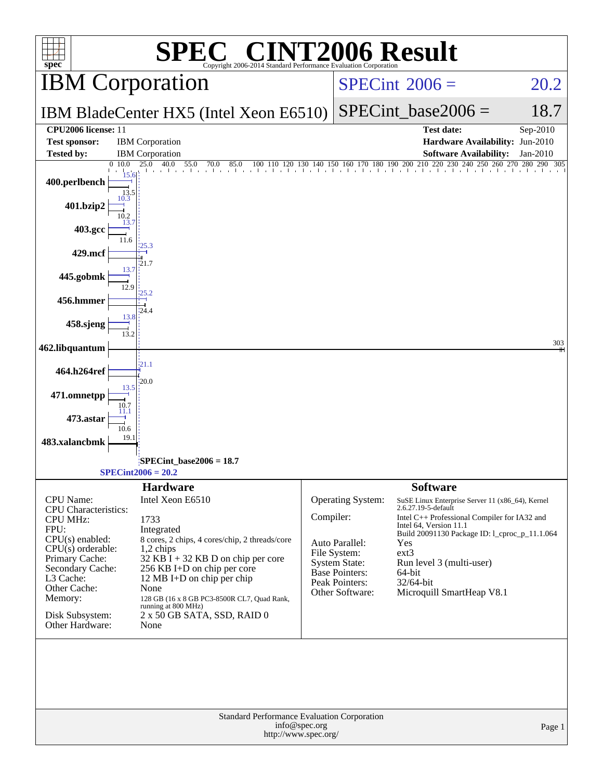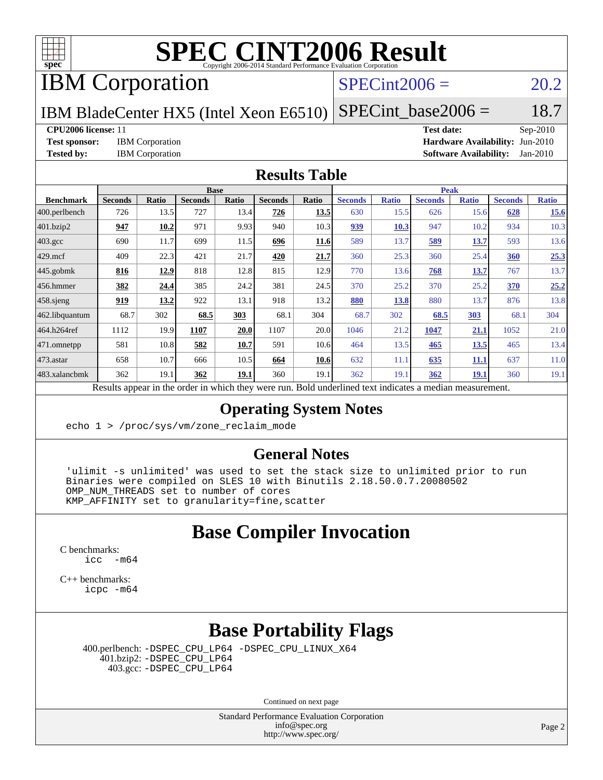

## IBM Corporation

#### $SPECint2006 = 20.2$  $SPECint2006 = 20.2$

IBM BladeCenter HX5 (Intel Xeon E6510)  $SPECTnt\_base2006 = 18.7$ 

**[CPU2006 license:](http://www.spec.org/auto/cpu2006/Docs/result-fields.html#CPU2006license)** 11 **[Test date:](http://www.spec.org/auto/cpu2006/Docs/result-fields.html#Testdate)** Sep-2010 **[Test sponsor:](http://www.spec.org/auto/cpu2006/Docs/result-fields.html#Testsponsor)** IBM Corporation **[Hardware Availability:](http://www.spec.org/auto/cpu2006/Docs/result-fields.html#HardwareAvailability)** Jun-2010 **[Tested by:](http://www.spec.org/auto/cpu2006/Docs/result-fields.html#Testedby)** IBM Corporation **[Software Availability:](http://www.spec.org/auto/cpu2006/Docs/result-fields.html#SoftwareAvailability)** Jan-2010

#### **[Results Table](http://www.spec.org/auto/cpu2006/Docs/result-fields.html#ResultsTable)**

|                       | <b>Base</b>                                                                                              |       |                |       |                |       | <b>Peak</b>    |              |                |              |                |              |  |
|-----------------------|----------------------------------------------------------------------------------------------------------|-------|----------------|-------|----------------|-------|----------------|--------------|----------------|--------------|----------------|--------------|--|
| <b>Benchmark</b>      | <b>Seconds</b>                                                                                           | Ratio | <b>Seconds</b> | Ratio | <b>Seconds</b> | Ratio | <b>Seconds</b> | <b>Ratio</b> | <b>Seconds</b> | <b>Ratio</b> | <b>Seconds</b> | <b>Ratio</b> |  |
| $ 400$ .perlbench     | 726                                                                                                      | 13.5  | 727            | 13.4  | 726            | 13.5  | 630            | 15.5         | 626            | 15.6         | 628            | 15.6         |  |
| 401.bzip2             | 947                                                                                                      | 10.2  | 971            | 9.93  | 940            | 10.3  | 939            | 10.3         | 947            | 10.2         | 934            | 10.3         |  |
| $403.\text{gcc}$      | 690                                                                                                      | 11.7  | 699            | 11.5  | 696            | 11.6  | 589            | 13.7         | 589            | 13.7         | 593            | 13.6         |  |
| $429$ mcf             | 409                                                                                                      | 22.3  | 421            | 21.7  | 420            | 21.7  | 360            | 25.3         | 360            | 25.4         | 360            | 25.3         |  |
| $445$ .gobmk          | 816                                                                                                      | 12.9  | 818            | 12.8  | 815            | 12.9  | 770            | 13.6         | 768            | 13.7         | 767            | 13.7         |  |
| $ 456$ .hmmer         | 382                                                                                                      | 24.4  | 385            | 24.2  | 381            | 24.5  | 370            | 25.2         | 370            | 25.2         | 370            | 25.2         |  |
| $ 458 \text{.}$ sjeng | 919                                                                                                      | 13.2  | 922            | 13.1  | 918            | 13.2  | 880            | 13.8         | 880            | 13.7         | 876            | 13.8         |  |
| 462.libquantum        | 68.7                                                                                                     | 302   | 68.5           | 303   | 68.1           | 304   | 68.7           | 302          | 68.5           | <b>303</b>   | 68.1           | 304          |  |
| 464.h264ref           | 1112                                                                                                     | 19.9  | 1107           | 20.0  | 1107           | 20.0  | 1046           | 21.2         | 1047           | 21.1         | 1052           | 21.0         |  |
| $ 471$ .omnetpp       | 581                                                                                                      | 10.8  | 582            | 10.7  | 591            | 10.6  | 464            | 13.5         | 465            | 13.5         | 465            | 13.4         |  |
| $ 473$ . astar        | 658                                                                                                      | 10.7  | 666            | 10.5  | 664            | 10.6  | 632            | 11.1         | 635            | 11.1         | 637            | 11.0         |  |
| 483.xalancbmk         | 362                                                                                                      | 19.1  | 362            | 19.1  | 360            | 19.1  | 362            | 19.1         | 362            | <b>19.1</b>  | 360            | 19.1         |  |
|                       | Results appear in the order in which they were run. Bold underlined text indicates a median measurement. |       |                |       |                |       |                |              |                |              |                |              |  |

#### **[Operating System Notes](http://www.spec.org/auto/cpu2006/Docs/result-fields.html#OperatingSystemNotes)**

echo 1 > /proc/sys/vm/zone reclaim mode

#### **[General Notes](http://www.spec.org/auto/cpu2006/Docs/result-fields.html#GeneralNotes)**

 'ulimit -s unlimited' was used to set the stack size to unlimited prior to run Binaries were compiled on SLES 10 with Binutils 2.18.50.0.7.20080502 OMP NUM THREADS set to number of cores KMP\_AFFINITY set to granularity=fine,scatter

#### **[Base Compiler Invocation](http://www.spec.org/auto/cpu2006/Docs/result-fields.html#BaseCompilerInvocation)**

[C benchmarks](http://www.spec.org/auto/cpu2006/Docs/result-fields.html#Cbenchmarks):  $inc - m64$ 

[C++ benchmarks:](http://www.spec.org/auto/cpu2006/Docs/result-fields.html#CXXbenchmarks) [icpc -m64](http://www.spec.org/cpu2006/results/res2010q3/cpu2006-20100914-13298.flags.html#user_CXXbase_intel_icpc_64bit_fc66a5337ce925472a5c54ad6a0de310)

## **[Base Portability Flags](http://www.spec.org/auto/cpu2006/Docs/result-fields.html#BasePortabilityFlags)**

 400.perlbench: [-DSPEC\\_CPU\\_LP64](http://www.spec.org/cpu2006/results/res2010q3/cpu2006-20100914-13298.flags.html#b400.perlbench_basePORTABILITY_DSPEC_CPU_LP64) [-DSPEC\\_CPU\\_LINUX\\_X64](http://www.spec.org/cpu2006/results/res2010q3/cpu2006-20100914-13298.flags.html#b400.perlbench_baseCPORTABILITY_DSPEC_CPU_LINUX_X64) 401.bzip2: [-DSPEC\\_CPU\\_LP64](http://www.spec.org/cpu2006/results/res2010q3/cpu2006-20100914-13298.flags.html#suite_basePORTABILITY401_bzip2_DSPEC_CPU_LP64) 403.gcc: [-DSPEC\\_CPU\\_LP64](http://www.spec.org/cpu2006/results/res2010q3/cpu2006-20100914-13298.flags.html#suite_basePORTABILITY403_gcc_DSPEC_CPU_LP64)

Continued on next page

Standard Performance Evaluation Corporation [info@spec.org](mailto:info@spec.org) <http://www.spec.org/>

Page 2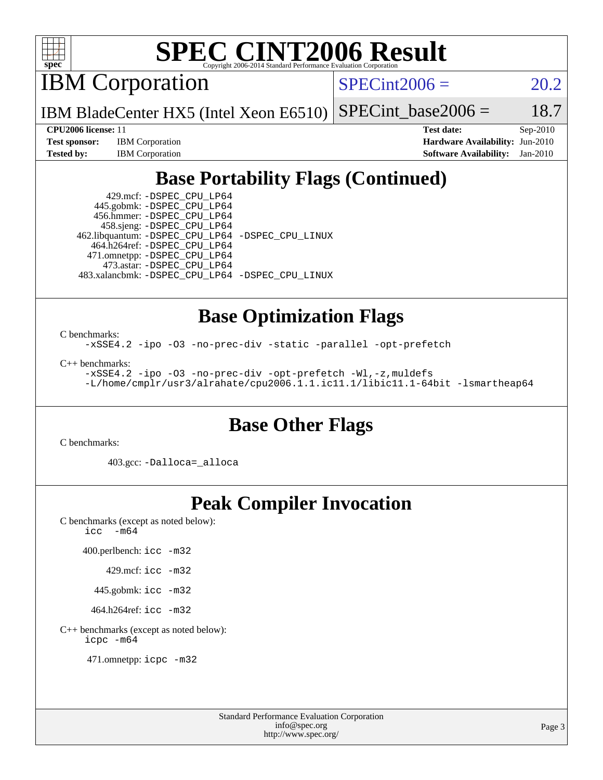

IBM Corporation

 $SPECint2006 = 20.2$  $SPECint2006 = 20.2$ 

IBM BladeCenter HX5 (Intel Xeon E6510) SPECint base2006 =  $18.7$ 

**[Test sponsor:](http://www.spec.org/auto/cpu2006/Docs/result-fields.html#Testsponsor)** IBM Corporation **[Hardware Availability:](http://www.spec.org/auto/cpu2006/Docs/result-fields.html#HardwareAvailability)** Jun-2010

**[CPU2006 license:](http://www.spec.org/auto/cpu2006/Docs/result-fields.html#CPU2006license)** 11 **[Test date:](http://www.spec.org/auto/cpu2006/Docs/result-fields.html#Testdate)** Sep-2010 **[Tested by:](http://www.spec.org/auto/cpu2006/Docs/result-fields.html#Testedby)** IBM Corporation **[Software Availability:](http://www.spec.org/auto/cpu2006/Docs/result-fields.html#SoftwareAvailability)** Jan-2010

## **[Base Portability Flags \(Continued\)](http://www.spec.org/auto/cpu2006/Docs/result-fields.html#BasePortabilityFlags)**

 429.mcf: [-DSPEC\\_CPU\\_LP64](http://www.spec.org/cpu2006/results/res2010q3/cpu2006-20100914-13298.flags.html#suite_basePORTABILITY429_mcf_DSPEC_CPU_LP64) 445.gobmk: [-DSPEC\\_CPU\\_LP64](http://www.spec.org/cpu2006/results/res2010q3/cpu2006-20100914-13298.flags.html#suite_basePORTABILITY445_gobmk_DSPEC_CPU_LP64) 456.hmmer: [-DSPEC\\_CPU\\_LP64](http://www.spec.org/cpu2006/results/res2010q3/cpu2006-20100914-13298.flags.html#suite_basePORTABILITY456_hmmer_DSPEC_CPU_LP64) 458.sjeng: [-DSPEC\\_CPU\\_LP64](http://www.spec.org/cpu2006/results/res2010q3/cpu2006-20100914-13298.flags.html#suite_basePORTABILITY458_sjeng_DSPEC_CPU_LP64) 462.libquantum: [-DSPEC\\_CPU\\_LP64](http://www.spec.org/cpu2006/results/res2010q3/cpu2006-20100914-13298.flags.html#suite_basePORTABILITY462_libquantum_DSPEC_CPU_LP64) [-DSPEC\\_CPU\\_LINUX](http://www.spec.org/cpu2006/results/res2010q3/cpu2006-20100914-13298.flags.html#b462.libquantum_baseCPORTABILITY_DSPEC_CPU_LINUX) 464.h264ref: [-DSPEC\\_CPU\\_LP64](http://www.spec.org/cpu2006/results/res2010q3/cpu2006-20100914-13298.flags.html#suite_basePORTABILITY464_h264ref_DSPEC_CPU_LP64) 471.omnetpp: [-DSPEC\\_CPU\\_LP64](http://www.spec.org/cpu2006/results/res2010q3/cpu2006-20100914-13298.flags.html#suite_basePORTABILITY471_omnetpp_DSPEC_CPU_LP64) 473.astar: [-DSPEC\\_CPU\\_LP64](http://www.spec.org/cpu2006/results/res2010q3/cpu2006-20100914-13298.flags.html#suite_basePORTABILITY473_astar_DSPEC_CPU_LP64) 483.xalancbmk: [-DSPEC\\_CPU\\_LP64](http://www.spec.org/cpu2006/results/res2010q3/cpu2006-20100914-13298.flags.html#suite_basePORTABILITY483_xalancbmk_DSPEC_CPU_LP64) [-DSPEC\\_CPU\\_LINUX](http://www.spec.org/cpu2006/results/res2010q3/cpu2006-20100914-13298.flags.html#b483.xalancbmk_baseCXXPORTABILITY_DSPEC_CPU_LINUX)

### **[Base Optimization Flags](http://www.spec.org/auto/cpu2006/Docs/result-fields.html#BaseOptimizationFlags)**

[C benchmarks](http://www.spec.org/auto/cpu2006/Docs/result-fields.html#Cbenchmarks):

[-xSSE4.2](http://www.spec.org/cpu2006/results/res2010q3/cpu2006-20100914-13298.flags.html#user_CCbase_f-xSSE42_f91528193cf0b216347adb8b939d4107) [-ipo](http://www.spec.org/cpu2006/results/res2010q3/cpu2006-20100914-13298.flags.html#user_CCbase_f-ipo) [-O3](http://www.spec.org/cpu2006/results/res2010q3/cpu2006-20100914-13298.flags.html#user_CCbase_f-O3) [-no-prec-div](http://www.spec.org/cpu2006/results/res2010q3/cpu2006-20100914-13298.flags.html#user_CCbase_f-no-prec-div) [-static](http://www.spec.org/cpu2006/results/res2010q3/cpu2006-20100914-13298.flags.html#user_CCbase_f-static) [-parallel](http://www.spec.org/cpu2006/results/res2010q3/cpu2006-20100914-13298.flags.html#user_CCbase_f-parallel) [-opt-prefetch](http://www.spec.org/cpu2006/results/res2010q3/cpu2006-20100914-13298.flags.html#user_CCbase_f-opt-prefetch)

[C++ benchmarks:](http://www.spec.org/auto/cpu2006/Docs/result-fields.html#CXXbenchmarks)

[-xSSE4.2](http://www.spec.org/cpu2006/results/res2010q3/cpu2006-20100914-13298.flags.html#user_CXXbase_f-xSSE42_f91528193cf0b216347adb8b939d4107) [-ipo](http://www.spec.org/cpu2006/results/res2010q3/cpu2006-20100914-13298.flags.html#user_CXXbase_f-ipo) [-O3](http://www.spec.org/cpu2006/results/res2010q3/cpu2006-20100914-13298.flags.html#user_CXXbase_f-O3) [-no-prec-div](http://www.spec.org/cpu2006/results/res2010q3/cpu2006-20100914-13298.flags.html#user_CXXbase_f-no-prec-div) [-opt-prefetch](http://www.spec.org/cpu2006/results/res2010q3/cpu2006-20100914-13298.flags.html#user_CXXbase_f-opt-prefetch) [-Wl,-z,muldefs](http://www.spec.org/cpu2006/results/res2010q3/cpu2006-20100914-13298.flags.html#user_CXXbase_link_force_multiple1_74079c344b956b9658436fd1b6dd3a8a) [-L/home/cmplr/usr3/alrahate/cpu2006.1.1.ic11.1/libic11.1-64bit -lsmartheap64](http://www.spec.org/cpu2006/results/res2010q3/cpu2006-20100914-13298.flags.html#user_CXXbase_SmartHeap64_e2306cda84805d1ab360117a79ff779c)

#### **[Base Other Flags](http://www.spec.org/auto/cpu2006/Docs/result-fields.html#BaseOtherFlags)**

[C benchmarks](http://www.spec.org/auto/cpu2006/Docs/result-fields.html#Cbenchmarks):

403.gcc: [-Dalloca=\\_alloca](http://www.spec.org/cpu2006/results/res2010q3/cpu2006-20100914-13298.flags.html#b403.gcc_baseEXTRA_CFLAGS_Dalloca_be3056838c12de2578596ca5467af7f3)

#### **[Peak Compiler Invocation](http://www.spec.org/auto/cpu2006/Docs/result-fields.html#PeakCompilerInvocation)**

[C benchmarks \(except as noted below\)](http://www.spec.org/auto/cpu2006/Docs/result-fields.html#Cbenchmarksexceptasnotedbelow): icc  $-m64$ 

400.perlbench: [icc -m32](http://www.spec.org/cpu2006/results/res2010q3/cpu2006-20100914-13298.flags.html#user_peakCCLD400_perlbench_intel_icc_32bit_a6a621f8d50482236b970c6ac5f55f93)

429.mcf: [icc -m32](http://www.spec.org/cpu2006/results/res2010q3/cpu2006-20100914-13298.flags.html#user_peakCCLD429_mcf_intel_icc_32bit_a6a621f8d50482236b970c6ac5f55f93)

445.gobmk: [icc -m32](http://www.spec.org/cpu2006/results/res2010q3/cpu2006-20100914-13298.flags.html#user_peakCCLD445_gobmk_intel_icc_32bit_a6a621f8d50482236b970c6ac5f55f93)

464.h264ref: [icc -m32](http://www.spec.org/cpu2006/results/res2010q3/cpu2006-20100914-13298.flags.html#user_peakCCLD464_h264ref_intel_icc_32bit_a6a621f8d50482236b970c6ac5f55f93)

[C++ benchmarks \(except as noted below\):](http://www.spec.org/auto/cpu2006/Docs/result-fields.html#CXXbenchmarksexceptasnotedbelow) [icpc -m64](http://www.spec.org/cpu2006/results/res2010q3/cpu2006-20100914-13298.flags.html#user_CXXpeak_intel_icpc_64bit_fc66a5337ce925472a5c54ad6a0de310)

471.omnetpp: [icpc -m32](http://www.spec.org/cpu2006/results/res2010q3/cpu2006-20100914-13298.flags.html#user_peakCXXLD471_omnetpp_intel_icpc_32bit_4e5a5ef1a53fd332b3c49e69c3330699)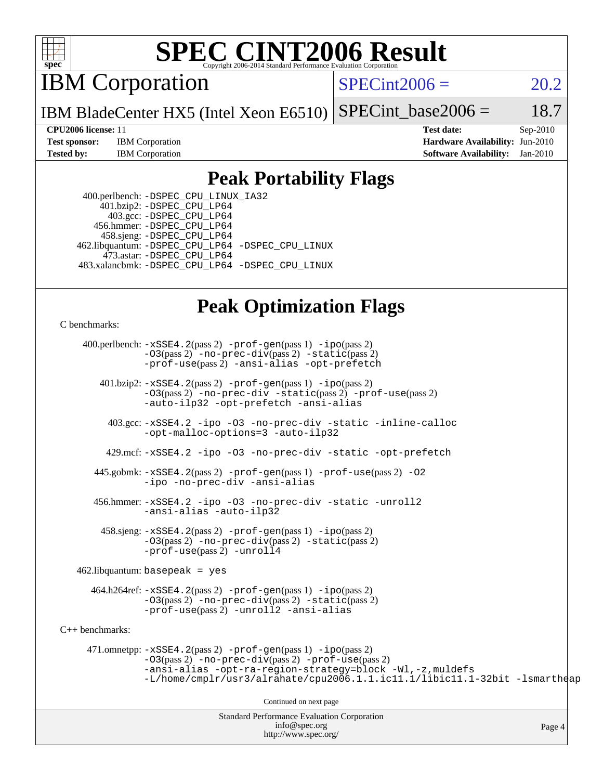

IBM Corporation

 $SPECint2006 = 20.2$  $SPECint2006 = 20.2$ 

IBM BladeCenter HX5 (Intel Xeon E6510) SPECint base2006 =  $18.7$ 

**[Test sponsor:](http://www.spec.org/auto/cpu2006/Docs/result-fields.html#Testsponsor)** IBM Corporation **[Hardware Availability:](http://www.spec.org/auto/cpu2006/Docs/result-fields.html#HardwareAvailability)** Jun-2010

**[CPU2006 license:](http://www.spec.org/auto/cpu2006/Docs/result-fields.html#CPU2006license)** 11 **[Test date:](http://www.spec.org/auto/cpu2006/Docs/result-fields.html#Testdate)** Sep-2010 **[Tested by:](http://www.spec.org/auto/cpu2006/Docs/result-fields.html#Testedby)** IBM Corporation **[Software Availability:](http://www.spec.org/auto/cpu2006/Docs/result-fields.html#SoftwareAvailability)** Jan-2010

#### **[Peak Portability Flags](http://www.spec.org/auto/cpu2006/Docs/result-fields.html#PeakPortabilityFlags)**

 400.perlbench: [-DSPEC\\_CPU\\_LINUX\\_IA32](http://www.spec.org/cpu2006/results/res2010q3/cpu2006-20100914-13298.flags.html#b400.perlbench_peakCPORTABILITY_DSPEC_CPU_LINUX_IA32) 401.bzip2: [-DSPEC\\_CPU\\_LP64](http://www.spec.org/cpu2006/results/res2010q3/cpu2006-20100914-13298.flags.html#suite_peakPORTABILITY401_bzip2_DSPEC_CPU_LP64) 403.gcc: [-DSPEC\\_CPU\\_LP64](http://www.spec.org/cpu2006/results/res2010q3/cpu2006-20100914-13298.flags.html#suite_peakPORTABILITY403_gcc_DSPEC_CPU_LP64) 456.hmmer: [-DSPEC\\_CPU\\_LP64](http://www.spec.org/cpu2006/results/res2010q3/cpu2006-20100914-13298.flags.html#suite_peakPORTABILITY456_hmmer_DSPEC_CPU_LP64) 458.sjeng: [-DSPEC\\_CPU\\_LP64](http://www.spec.org/cpu2006/results/res2010q3/cpu2006-20100914-13298.flags.html#suite_peakPORTABILITY458_sjeng_DSPEC_CPU_LP64) 462.libquantum: [-DSPEC\\_CPU\\_LP64](http://www.spec.org/cpu2006/results/res2010q3/cpu2006-20100914-13298.flags.html#suite_peakPORTABILITY462_libquantum_DSPEC_CPU_LP64) [-DSPEC\\_CPU\\_LINUX](http://www.spec.org/cpu2006/results/res2010q3/cpu2006-20100914-13298.flags.html#b462.libquantum_peakCPORTABILITY_DSPEC_CPU_LINUX) 473.astar: [-DSPEC\\_CPU\\_LP64](http://www.spec.org/cpu2006/results/res2010q3/cpu2006-20100914-13298.flags.html#suite_peakPORTABILITY473_astar_DSPEC_CPU_LP64) 483.xalancbmk: [-DSPEC\\_CPU\\_LP64](http://www.spec.org/cpu2006/results/res2010q3/cpu2006-20100914-13298.flags.html#suite_peakPORTABILITY483_xalancbmk_DSPEC_CPU_LP64) [-DSPEC\\_CPU\\_LINUX](http://www.spec.org/cpu2006/results/res2010q3/cpu2006-20100914-13298.flags.html#b483.xalancbmk_peakCXXPORTABILITY_DSPEC_CPU_LINUX)

### **[Peak Optimization Flags](http://www.spec.org/auto/cpu2006/Docs/result-fields.html#PeakOptimizationFlags)**

[C benchmarks](http://www.spec.org/auto/cpu2006/Docs/result-fields.html#Cbenchmarks):

 400.perlbench: [-xSSE4.2](http://www.spec.org/cpu2006/results/res2010q3/cpu2006-20100914-13298.flags.html#user_peakPASS2_CFLAGSPASS2_LDCFLAGS400_perlbench_f-xSSE42_f91528193cf0b216347adb8b939d4107)(pass 2) [-prof-gen](http://www.spec.org/cpu2006/results/res2010q3/cpu2006-20100914-13298.flags.html#user_peakPASS1_CFLAGSPASS1_LDCFLAGS400_perlbench_prof_gen_e43856698f6ca7b7e442dfd80e94a8fc)(pass 1) [-ipo](http://www.spec.org/cpu2006/results/res2010q3/cpu2006-20100914-13298.flags.html#user_peakPASS2_CFLAGSPASS2_LDCFLAGS400_perlbench_f-ipo)(pass 2) [-O3](http://www.spec.org/cpu2006/results/res2010q3/cpu2006-20100914-13298.flags.html#user_peakPASS2_CFLAGSPASS2_LDCFLAGS400_perlbench_f-O3)(pass 2) [-no-prec-div](http://www.spec.org/cpu2006/results/res2010q3/cpu2006-20100914-13298.flags.html#user_peakPASS2_CFLAGSPASS2_LDCFLAGS400_perlbench_f-no-prec-div)(pass 2) [-static](http://www.spec.org/cpu2006/results/res2010q3/cpu2006-20100914-13298.flags.html#user_peakPASS2_CFLAGSPASS2_LDCFLAGS400_perlbench_f-static)(pass 2) [-prof-use](http://www.spec.org/cpu2006/results/res2010q3/cpu2006-20100914-13298.flags.html#user_peakPASS2_CFLAGSPASS2_LDCFLAGS400_perlbench_prof_use_bccf7792157ff70d64e32fe3e1250b55)(pass 2) [-ansi-alias](http://www.spec.org/cpu2006/results/res2010q3/cpu2006-20100914-13298.flags.html#user_peakCOPTIMIZE400_perlbench_f-ansi-alias) [-opt-prefetch](http://www.spec.org/cpu2006/results/res2010q3/cpu2006-20100914-13298.flags.html#user_peakCOPTIMIZE400_perlbench_f-opt-prefetch)

 401.bzip2: [-xSSE4.2](http://www.spec.org/cpu2006/results/res2010q3/cpu2006-20100914-13298.flags.html#user_peakPASS2_CFLAGSPASS2_LDCFLAGS401_bzip2_f-xSSE42_f91528193cf0b216347adb8b939d4107)(pass 2) [-prof-gen](http://www.spec.org/cpu2006/results/res2010q3/cpu2006-20100914-13298.flags.html#user_peakPASS1_CFLAGSPASS1_LDCFLAGS401_bzip2_prof_gen_e43856698f6ca7b7e442dfd80e94a8fc)(pass 1) [-ipo](http://www.spec.org/cpu2006/results/res2010q3/cpu2006-20100914-13298.flags.html#user_peakPASS2_CFLAGSPASS2_LDCFLAGS401_bzip2_f-ipo)(pass 2) [-O3](http://www.spec.org/cpu2006/results/res2010q3/cpu2006-20100914-13298.flags.html#user_peakPASS2_CFLAGSPASS2_LDCFLAGS401_bzip2_f-O3)(pass 2) [-no-prec-div](http://www.spec.org/cpu2006/results/res2010q3/cpu2006-20100914-13298.flags.html#user_peakCOPTIMIZEPASS2_CFLAGSPASS2_LDCFLAGS401_bzip2_f-no-prec-div) [-static](http://www.spec.org/cpu2006/results/res2010q3/cpu2006-20100914-13298.flags.html#user_peakPASS2_CFLAGSPASS2_LDCFLAGS401_bzip2_f-static)(pass 2) [-prof-use](http://www.spec.org/cpu2006/results/res2010q3/cpu2006-20100914-13298.flags.html#user_peakPASS2_CFLAGSPASS2_LDCFLAGS401_bzip2_prof_use_bccf7792157ff70d64e32fe3e1250b55)(pass 2) [-auto-ilp32](http://www.spec.org/cpu2006/results/res2010q3/cpu2006-20100914-13298.flags.html#user_peakCOPTIMIZE401_bzip2_f-auto-ilp32) [-opt-prefetch](http://www.spec.org/cpu2006/results/res2010q3/cpu2006-20100914-13298.flags.html#user_peakCOPTIMIZE401_bzip2_f-opt-prefetch) [-ansi-alias](http://www.spec.org/cpu2006/results/res2010q3/cpu2006-20100914-13298.flags.html#user_peakCOPTIMIZE401_bzip2_f-ansi-alias)

 403.gcc: [-xSSE4.2](http://www.spec.org/cpu2006/results/res2010q3/cpu2006-20100914-13298.flags.html#user_peakCOPTIMIZE403_gcc_f-xSSE42_f91528193cf0b216347adb8b939d4107) [-ipo](http://www.spec.org/cpu2006/results/res2010q3/cpu2006-20100914-13298.flags.html#user_peakCOPTIMIZE403_gcc_f-ipo) [-O3](http://www.spec.org/cpu2006/results/res2010q3/cpu2006-20100914-13298.flags.html#user_peakCOPTIMIZE403_gcc_f-O3) [-no-prec-div](http://www.spec.org/cpu2006/results/res2010q3/cpu2006-20100914-13298.flags.html#user_peakCOPTIMIZE403_gcc_f-no-prec-div) [-static](http://www.spec.org/cpu2006/results/res2010q3/cpu2006-20100914-13298.flags.html#user_peakCOPTIMIZE403_gcc_f-static) [-inline-calloc](http://www.spec.org/cpu2006/results/res2010q3/cpu2006-20100914-13298.flags.html#user_peakCOPTIMIZE403_gcc_f-inline-calloc) [-opt-malloc-options=3](http://www.spec.org/cpu2006/results/res2010q3/cpu2006-20100914-13298.flags.html#user_peakCOPTIMIZE403_gcc_f-opt-malloc-options_13ab9b803cf986b4ee62f0a5998c2238) [-auto-ilp32](http://www.spec.org/cpu2006/results/res2010q3/cpu2006-20100914-13298.flags.html#user_peakCOPTIMIZE403_gcc_f-auto-ilp32)

429.mcf: [-xSSE4.2](http://www.spec.org/cpu2006/results/res2010q3/cpu2006-20100914-13298.flags.html#user_peakCOPTIMIZE429_mcf_f-xSSE42_f91528193cf0b216347adb8b939d4107) [-ipo](http://www.spec.org/cpu2006/results/res2010q3/cpu2006-20100914-13298.flags.html#user_peakCOPTIMIZE429_mcf_f-ipo) [-O3](http://www.spec.org/cpu2006/results/res2010q3/cpu2006-20100914-13298.flags.html#user_peakCOPTIMIZE429_mcf_f-O3) [-no-prec-div](http://www.spec.org/cpu2006/results/res2010q3/cpu2006-20100914-13298.flags.html#user_peakCOPTIMIZE429_mcf_f-no-prec-div) [-static](http://www.spec.org/cpu2006/results/res2010q3/cpu2006-20100914-13298.flags.html#user_peakCOPTIMIZE429_mcf_f-static) [-opt-prefetch](http://www.spec.org/cpu2006/results/res2010q3/cpu2006-20100914-13298.flags.html#user_peakCOPTIMIZE429_mcf_f-opt-prefetch)

 445.gobmk: [-xSSE4.2](http://www.spec.org/cpu2006/results/res2010q3/cpu2006-20100914-13298.flags.html#user_peakPASS2_CFLAGSPASS2_LDCFLAGS445_gobmk_f-xSSE42_f91528193cf0b216347adb8b939d4107)(pass 2) [-prof-gen](http://www.spec.org/cpu2006/results/res2010q3/cpu2006-20100914-13298.flags.html#user_peakPASS1_CFLAGSPASS1_LDCFLAGS445_gobmk_prof_gen_e43856698f6ca7b7e442dfd80e94a8fc)(pass 1) [-prof-use](http://www.spec.org/cpu2006/results/res2010q3/cpu2006-20100914-13298.flags.html#user_peakPASS2_CFLAGSPASS2_LDCFLAGS445_gobmk_prof_use_bccf7792157ff70d64e32fe3e1250b55)(pass 2) [-O2](http://www.spec.org/cpu2006/results/res2010q3/cpu2006-20100914-13298.flags.html#user_peakCOPTIMIZE445_gobmk_f-O2) [-ipo](http://www.spec.org/cpu2006/results/res2010q3/cpu2006-20100914-13298.flags.html#user_peakCOPTIMIZE445_gobmk_f-ipo) [-no-prec-div](http://www.spec.org/cpu2006/results/res2010q3/cpu2006-20100914-13298.flags.html#user_peakCOPTIMIZE445_gobmk_f-no-prec-div) [-ansi-alias](http://www.spec.org/cpu2006/results/res2010q3/cpu2006-20100914-13298.flags.html#user_peakCOPTIMIZE445_gobmk_f-ansi-alias)

 456.hmmer: [-xSSE4.2](http://www.spec.org/cpu2006/results/res2010q3/cpu2006-20100914-13298.flags.html#user_peakCOPTIMIZE456_hmmer_f-xSSE42_f91528193cf0b216347adb8b939d4107) [-ipo](http://www.spec.org/cpu2006/results/res2010q3/cpu2006-20100914-13298.flags.html#user_peakCOPTIMIZE456_hmmer_f-ipo) [-O3](http://www.spec.org/cpu2006/results/res2010q3/cpu2006-20100914-13298.flags.html#user_peakCOPTIMIZE456_hmmer_f-O3) [-no-prec-div](http://www.spec.org/cpu2006/results/res2010q3/cpu2006-20100914-13298.flags.html#user_peakCOPTIMIZE456_hmmer_f-no-prec-div) [-static](http://www.spec.org/cpu2006/results/res2010q3/cpu2006-20100914-13298.flags.html#user_peakCOPTIMIZE456_hmmer_f-static) [-unroll2](http://www.spec.org/cpu2006/results/res2010q3/cpu2006-20100914-13298.flags.html#user_peakCOPTIMIZE456_hmmer_f-unroll_784dae83bebfb236979b41d2422d7ec2) [-ansi-alias](http://www.spec.org/cpu2006/results/res2010q3/cpu2006-20100914-13298.flags.html#user_peakCOPTIMIZE456_hmmer_f-ansi-alias) [-auto-ilp32](http://www.spec.org/cpu2006/results/res2010q3/cpu2006-20100914-13298.flags.html#user_peakCOPTIMIZE456_hmmer_f-auto-ilp32)

 458.sjeng: [-xSSE4.2](http://www.spec.org/cpu2006/results/res2010q3/cpu2006-20100914-13298.flags.html#user_peakPASS2_CFLAGSPASS2_LDCFLAGS458_sjeng_f-xSSE42_f91528193cf0b216347adb8b939d4107)(pass 2) [-prof-gen](http://www.spec.org/cpu2006/results/res2010q3/cpu2006-20100914-13298.flags.html#user_peakPASS1_CFLAGSPASS1_LDCFLAGS458_sjeng_prof_gen_e43856698f6ca7b7e442dfd80e94a8fc)(pass 1) [-ipo](http://www.spec.org/cpu2006/results/res2010q3/cpu2006-20100914-13298.flags.html#user_peakPASS2_CFLAGSPASS2_LDCFLAGS458_sjeng_f-ipo)(pass 2) [-O3](http://www.spec.org/cpu2006/results/res2010q3/cpu2006-20100914-13298.flags.html#user_peakPASS2_CFLAGSPASS2_LDCFLAGS458_sjeng_f-O3)(pass 2) [-no-prec-div](http://www.spec.org/cpu2006/results/res2010q3/cpu2006-20100914-13298.flags.html#user_peakPASS2_CFLAGSPASS2_LDCFLAGS458_sjeng_f-no-prec-div)(pass 2) [-static](http://www.spec.org/cpu2006/results/res2010q3/cpu2006-20100914-13298.flags.html#user_peakPASS2_CFLAGSPASS2_LDCFLAGS458_sjeng_f-static)(pass 2) [-prof-use](http://www.spec.org/cpu2006/results/res2010q3/cpu2006-20100914-13298.flags.html#user_peakPASS2_CFLAGSPASS2_LDCFLAGS458_sjeng_prof_use_bccf7792157ff70d64e32fe3e1250b55)(pass 2) [-unroll4](http://www.spec.org/cpu2006/results/res2010q3/cpu2006-20100914-13298.flags.html#user_peakCOPTIMIZE458_sjeng_f-unroll_4e5e4ed65b7fd20bdcd365bec371b81f)

462.libquantum: basepeak = yes

 464.h264ref: [-xSSE4.2](http://www.spec.org/cpu2006/results/res2010q3/cpu2006-20100914-13298.flags.html#user_peakPASS2_CFLAGSPASS2_LDCFLAGS464_h264ref_f-xSSE42_f91528193cf0b216347adb8b939d4107)(pass 2) [-prof-gen](http://www.spec.org/cpu2006/results/res2010q3/cpu2006-20100914-13298.flags.html#user_peakPASS1_CFLAGSPASS1_LDCFLAGS464_h264ref_prof_gen_e43856698f6ca7b7e442dfd80e94a8fc)(pass 1) [-ipo](http://www.spec.org/cpu2006/results/res2010q3/cpu2006-20100914-13298.flags.html#user_peakPASS2_CFLAGSPASS2_LDCFLAGS464_h264ref_f-ipo)(pass 2) [-O3](http://www.spec.org/cpu2006/results/res2010q3/cpu2006-20100914-13298.flags.html#user_peakPASS2_CFLAGSPASS2_LDCFLAGS464_h264ref_f-O3)(pass 2) [-no-prec-div](http://www.spec.org/cpu2006/results/res2010q3/cpu2006-20100914-13298.flags.html#user_peakPASS2_CFLAGSPASS2_LDCFLAGS464_h264ref_f-no-prec-div)(pass 2) [-static](http://www.spec.org/cpu2006/results/res2010q3/cpu2006-20100914-13298.flags.html#user_peakPASS2_CFLAGSPASS2_LDCFLAGS464_h264ref_f-static)(pass 2) [-prof-use](http://www.spec.org/cpu2006/results/res2010q3/cpu2006-20100914-13298.flags.html#user_peakPASS2_CFLAGSPASS2_LDCFLAGS464_h264ref_prof_use_bccf7792157ff70d64e32fe3e1250b55)(pass 2) [-unroll2](http://www.spec.org/cpu2006/results/res2010q3/cpu2006-20100914-13298.flags.html#user_peakCOPTIMIZE464_h264ref_f-unroll_784dae83bebfb236979b41d2422d7ec2) [-ansi-alias](http://www.spec.org/cpu2006/results/res2010q3/cpu2006-20100914-13298.flags.html#user_peakCOPTIMIZE464_h264ref_f-ansi-alias)

[C++ benchmarks:](http://www.spec.org/auto/cpu2006/Docs/result-fields.html#CXXbenchmarks)

 471.omnetpp: [-xSSE4.2](http://www.spec.org/cpu2006/results/res2010q3/cpu2006-20100914-13298.flags.html#user_peakPASS2_CXXFLAGSPASS2_LDCXXFLAGS471_omnetpp_f-xSSE42_f91528193cf0b216347adb8b939d4107)(pass 2) [-prof-gen](http://www.spec.org/cpu2006/results/res2010q3/cpu2006-20100914-13298.flags.html#user_peakPASS1_CXXFLAGSPASS1_LDCXXFLAGS471_omnetpp_prof_gen_e43856698f6ca7b7e442dfd80e94a8fc)(pass 1) [-ipo](http://www.spec.org/cpu2006/results/res2010q3/cpu2006-20100914-13298.flags.html#user_peakPASS2_CXXFLAGSPASS2_LDCXXFLAGS471_omnetpp_f-ipo)(pass 2) [-O3](http://www.spec.org/cpu2006/results/res2010q3/cpu2006-20100914-13298.flags.html#user_peakPASS2_CXXFLAGSPASS2_LDCXXFLAGS471_omnetpp_f-O3)(pass 2) [-no-prec-div](http://www.spec.org/cpu2006/results/res2010q3/cpu2006-20100914-13298.flags.html#user_peakPASS2_CXXFLAGSPASS2_LDCXXFLAGS471_omnetpp_f-no-prec-div)(pass 2) [-prof-use](http://www.spec.org/cpu2006/results/res2010q3/cpu2006-20100914-13298.flags.html#user_peakPASS2_CXXFLAGSPASS2_LDCXXFLAGS471_omnetpp_prof_use_bccf7792157ff70d64e32fe3e1250b55)(pass 2) [-ansi-alias](http://www.spec.org/cpu2006/results/res2010q3/cpu2006-20100914-13298.flags.html#user_peakCXXOPTIMIZE471_omnetpp_f-ansi-alias) [-opt-ra-region-strategy=block](http://www.spec.org/cpu2006/results/res2010q3/cpu2006-20100914-13298.flags.html#user_peakCXXOPTIMIZE471_omnetpp_f-opt-ra-region-strategy-block_a0a37c372d03933b2a18d4af463c1f69) [-Wl,-z,muldefs](http://www.spec.org/cpu2006/results/res2010q3/cpu2006-20100914-13298.flags.html#user_peakEXTRA_LDFLAGS471_omnetpp_link_force_multiple1_74079c344b956b9658436fd1b6dd3a8a) [-L/home/cmplr/usr3/alrahate/cpu2006.1.1.ic11.1/libic11.1-32bit -lsmartheap](http://www.spec.org/cpu2006/results/res2010q3/cpu2006-20100914-13298.flags.html#user_peakEXTRA_LIBS471_omnetpp_SmartHeap_d86dffe4a79b79ef8890d5cce17030c3)

Continued on next page

Standard Performance Evaluation Corporation [info@spec.org](mailto:info@spec.org) <http://www.spec.org/>

Page 4